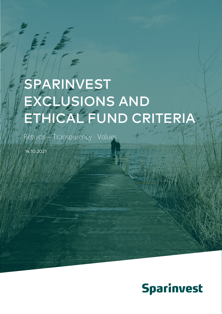# SPARINVEST EXCLUSIONS AND ETHICAL FUND CRITERIA

Returns – Transparency - Values

14.10.2021

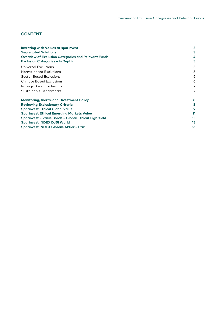## **CONTENT**

| <b>Investing with Values at sparinvest</b>                 | 3  |  |  |  |  |
|------------------------------------------------------------|----|--|--|--|--|
| <b>Segregated Solutions</b>                                | 3  |  |  |  |  |
| <b>Overview of Exclusion Categories and Relevant Funds</b> | 4  |  |  |  |  |
| <b>Exclusion Categories - In Depth</b>                     | 5  |  |  |  |  |
| Universal Exclusions                                       | 5  |  |  |  |  |
| Norms-based Exclusions                                     | 5  |  |  |  |  |
| <b>Sector Based Exclusions</b>                             | 6  |  |  |  |  |
| <b>Climate Based Exclusions</b>                            | 6  |  |  |  |  |
| <b>Ratings Based Exclusions</b>                            | 7  |  |  |  |  |
| Sustainable Benchmarks                                     | 7  |  |  |  |  |
| <b>Monitoring, Alerts, and Divestment Policy</b>           | 8  |  |  |  |  |
| <b>Reviewing Exclusionary Criteria</b>                     | 8  |  |  |  |  |
| <b>Sparinvest Ethical Global Value</b>                     | 9  |  |  |  |  |
| <b>Sparinvest Ethical Emerging Markets Value</b>           |    |  |  |  |  |
| Sparinvest - Value Bonds - Global Ethical High Yield       | 13 |  |  |  |  |
| <b>Sparinvest INDEX DJSI World</b>                         | 15 |  |  |  |  |
| <b>Sparinvest INDEX Globale Aktier - Etik</b>              | 16 |  |  |  |  |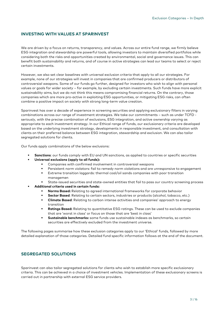## <span id="page-2-0"></span>**INVESTING WITH VALUES AT SPARINVEST**

We are driven by a focus on returns, transparency, and values. Across our entire fund range, we firmly believe ESG integration and stewardship are powerful tools, allowing investors to maintain diversified portfolios while considering both the risks and opportunities created by environmental, social and governance issues. This can benefit both sustainability and returns, and of course in active strategies can lead our teams to select or reject certain investments.

However, we also set clear baselines with universal exclusion criteria that apply to all our strategies. For example, none of our strategies will invest in companies that are confirmed producers or distributors of controversial weapons. Some of our funds go further, designed for investors who wish to align with personal values or goals for wider society – for example, by excluding certain investments. Such funds have more explicit sustainability aims, but we do not think this means compromising financial returns. On the contrary, those companies which are more pro-active in exploiting ESG opportunities, or mitigating ESG risks, can often combine a positive impact on society with strong long-term value creation.

Sparinvest has over a decade of experience in screening securities and applying exclusionary filters in varying combinations across our range of investment strategies. We take our commitments – such as under TCFD seriously, with the precise combination of exclusions, ESG integration, and active ownership varying as appropriate to each investment strategy. In our Ethical range of funds, our exclusionary criteria are developed based on the underlying investment strategy, developments in responsible investment, and consultation with clients on their preferred balance between ESG integration, stewardship and exclusion. We can also tailor segregated solutions for clients.

Our funds apply combinations of the below exclusions:

- **Sanctions:** our funds comply with EU and UN sanctions, as applied to countries or specific securities
- **Universal exclusions (apply to all funds):**
	- Companies with confirmed involvement in controversial weapons
	- Persistent norm violators: fail to remedy norm violations and are unresponsive to engagement
	- Extreme transition laggards: thermal coal/oil sands companies with poor transition managemen
	- State-issued securities and state-owned entities that fail to pass our country screening process
- **Additional criteria used in certain funds:**
	- **Norms Based:** Relating to agreed international frameworks for corporate behavior
	- **Sector Based**: Relating to certain sectors, industries or products (alcohol, tobacco, etc.)
	- **Climate Based**: Relating to carbon intense activities and companies' approach to energy transition
	- **Ratings Based:** Relating to quantitative ESG ratings. These can be used to exclude companies that are 'worst in class' or focus on those that are 'best in class'
	- **Sustainable benchmarks:** some funds use sustainable indexes as benchmarks, so certain securities are effectively excluded from the investment universe.

<span id="page-2-1"></span>The following pages summarise how these exclusion categories apply to our 'Ethical' funds, followed by more detailed explanation of those categories. Detailed fund specific information follows at the end of the document.

### **SEGREGATED SOLUTIONS**

Sparinvest can also tailor segregated solutions for clients who wish to establish more specific exclusionary criteria. This can be achieved in a choice of investment vehicles. Implementation of these exclusionary screens is carried out in partnership with external ESG service providers.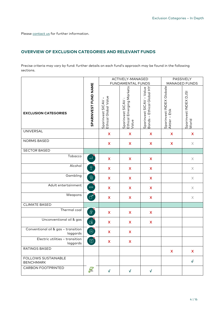<span id="page-3-0"></span>Pleas[e contact us](https://www.sparinvest.lu/about-us/get-in-contact/) for further information.

## **OVERVIEW OF EXCLUSION CATEGORIES AND RELEVANT FUNDS**

Precise criteria may vary by fund: further details on each fund's approach may be found in the following sections.

|                                                 |                                                                |                                                          | ACTIVELY-MANAGED<br>FUNDAMENTAL FUNDS                 |                                                                                     |                                           | PASSIVELY<br>MANAGED FUNDS     |
|-------------------------------------------------|----------------------------------------------------------------|----------------------------------------------------------|-------------------------------------------------------|-------------------------------------------------------------------------------------|-------------------------------------------|--------------------------------|
| <b>EXCLUSION CATEGORIES</b>                     | SPARINVEST FUND NAME                                           | Ethical Global Value<br>$\mathsf{I}$<br>Sparinvest SICAV | Ethical Emerging Markets<br>Sparinvest SICAV<br>Value | vest SICAV – Value<br>– Ethical Global HY<br>Sparinvest SICAV<br>Bonds – Ethical GI | Sparinvest INDEX Globale<br>Aktier - Etik | Sparinvest INDEX DJSI<br>World |
| <b>UNIVERSAL</b>                                |                                                                | $\boldsymbol{\mathsf{X}}$                                | $\boldsymbol{\mathsf{X}}$                             | $\mathsf{X}$                                                                        | $\boldsymbol{\mathsf{X}}$                 | $\boldsymbol{\mathsf{X}}$      |
| NORMS BASED                                     |                                                                | $\boldsymbol{\mathsf{X}}$                                | $\mathsf{X}$                                          | $\mathsf{X}$                                                                        | $\boldsymbol{\mathsf{X}}$                 | $\boldsymbol{\times}$          |
| <b>SECTOR BASED</b>                             |                                                                |                                                          |                                                       |                                                                                     |                                           |                                |
| Tobacco                                         | $\begin{array}{c}\n\stackrel{?}{\longrightarrow}\n\end{array}$ | $\boldsymbol{\mathsf{X}}$                                | $\boldsymbol{\mathsf{X}}$                             | $\boldsymbol{\mathsf{X}}$                                                           |                                           | $\boldsymbol{\times}$          |
| Alcohol                                         | $\Theta$                                                       | $\boldsymbol{\mathsf{X}}$                                | $\mathsf{X}$                                          | $\mathsf{X}$                                                                        |                                           | $\boldsymbol{\times}$          |
| Gambling                                        | $\circledcirc$                                                 | $\boldsymbol{\mathsf{X}}$                                | $\boldsymbol{\mathsf{X}}$                             | $\mathsf{X}$                                                                        |                                           | $\times$                       |
| Adult entertainment                             | XXX                                                            | $\mathsf{x}$                                             | $\mathsf{X}$                                          | $\mathsf{X}$                                                                        |                                           | $\boldsymbol{\times}$          |
| Weapons                                         | $\sigma^*$                                                     | $\mathsf{X}$                                             | $\mathsf{X}$                                          | $\mathsf{X}$                                                                        |                                           | $\boldsymbol{\times}$          |
| <b>CLIMATE BASED</b>                            |                                                                |                                                          |                                                       |                                                                                     |                                           |                                |
| Thermal coal                                    | $\mathbb{R}$                                                   | $\boldsymbol{\mathsf{X}}$                                | $\boldsymbol{\mathsf{X}}$                             | $\boldsymbol{\mathsf{X}}$                                                           |                                           |                                |
| Unconventional oil & gas                        | $\circledcirc^{\circ}$                                         | $\boldsymbol{\mathsf{X}}$                                | $\mathsf{X}$                                          | $\mathsf{X}$                                                                        |                                           |                                |
| Conventional oil & gas - transition<br>laggards | $\textcircled{c}$                                              | $\boldsymbol{\mathsf{X}}$                                | X                                                     |                                                                                     |                                           |                                |
| Electric utilities - transition<br>laggards     | $\left[\frac{1}{2}$                                            | $\boldsymbol{\mathsf{X}}$                                | $\boldsymbol{\mathsf{X}}$                             |                                                                                     |                                           |                                |
| <b>RATINGS BASED</b>                            |                                                                |                                                          |                                                       |                                                                                     | $\mathsf{X}$                              | $\mathsf{X}$                   |
| FOLLOWS SUSTAINABLE<br><b>BENCHMARK</b>         |                                                                |                                                          |                                                       |                                                                                     |                                           | V.                             |
| CARBON FOOTPRINTED                              | $\ddot{a}$                                                     | $\sqrt{2}$                                               | $\sqrt{2}$                                            | $\sqrt{2}$                                                                          |                                           |                                |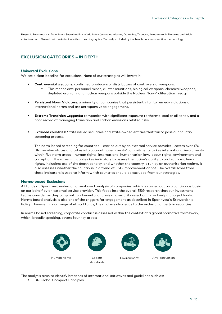<span id="page-4-0"></span>**Notes: 1**. Benchmark is: Dow Jones Sustainability World Index (excluding Alcohol, Gambling, Tobacco, Armaments & Firearms and Adult entertainment. Greyed out marks indicate that the category is effectively excluded by the benchmark construction methodology.

## **EXCLUSION CATEGORIES – IN DEPTH**

#### <span id="page-4-1"></span>**Universal Exclusions**

We set a clear baseline for exclusions. None of our strategies will invest in:

- **Controversial weapons:** confirmed producers or distributors of controversial weapons.
	- This means anti-personnel mines, cluster munitions, biological weapons, chemical weapons, depleted uranium, and nuclear weapons outside the Nuclear Non-Proliferation Treaty.
- **Persistent Norm Violators:** a minority of companies that persistently fail to remedy violations of international norms and are unresponsive to engagement.
- **Extreme Transition Laggards:** companies with significant exposure to thermal coal or oil sands, and a poor record of managing transition and carbon emissions related risks.
- **Excluded countries:** State issued securities and state-owned entities that fail to pass our country screening process.

The norm-based screening for countries – carried out by an external service provider - covers over 170 UN member states and takes into account governments' commitments to key international instruments within five norm areas – human rights, international humanitarian law, labour rights, environment and corruption. The screening applies key indicators to assess the nation's ability to protect basic human rights, including: use of the death penalty, and whether the country is run by an authoritarian regime. It also assesses whether the country is in a trend of ESG improvement or not. The overall score from these indicators is used to inform which countries should be excluded from our strategies.

#### <span id="page-4-2"></span>**Norms-based Exclusions**

All funds at Sparinvest undergo norms-based analysis of companies, which is carried out on a continuous basis on our behalf by an external service provider. This feeds into the overall ESG research that our investment teams consider as they carry out fundamental analysis and security selection for actively managed funds. Norms based analysis is also one of the triggers for engagement as described in Sparinvest's Stewardship Policy. However, in our range of ethical funds, the analysis also leads to the exclusion of certain securities.

In norms based screening, corporate conduct is assessed within the context of a global normative framework, which, broadly speaking, covers four key areas:



The analysis aims to identify breaches of international initiatives and guidelines such as:

**UN Global Compact Principles**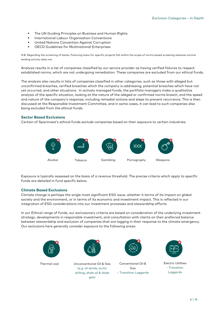- The UN Guiding Principles on Business and Human Rights
- **International Labour Organisation Conventions**
- United Nations Convention Against Corruption
- OECD Guidelines for Multinational Enterprises

N.B. Regarding the screening of banks, financing loans for specific projects fall within the scope of norms based screening whereas normal lending activity does not.

Analysis results in a list of companies classified by our service provider as having verified failures to respect established norms, which are not undergoing remediation. These companies are excluded from our ethical funds.

The analysis also results in lists of companies classified in other categories, such as those with alleged but unconfirmed breaches, verified breaches which the company is addressing, potential breaches which have not yet occurred, and other situations. In actively managed funds, the portfolio managers make a qualitative analysis of the specific situation, looking at the nature of the alleged or confirmed norms breach, and the speed and nature of the company's response, including remedial actions and steps to prevent recurrence. This is then discussed at the Responsible Investment Committee, and in some cases, it can lead to such companies also being excluded from the ethical funds.

#### <span id="page-5-0"></span>**Sector Based Exclusions**

Certain of Sparinvest's ethical funds exclude companies based on their exposure to certain industries:



Exposure is typically assessed on the basis of a revenue threshold. The precise criteria which apply to specific funds are detailed in fund specific below.

#### <span id="page-5-1"></span>**Climate Based Exclusions**

Climate change is perhaps the single most significant ESG issue, whether it terms of its impact on global society and the environment, or in terms of its economic and investment impact. This is reflected in our integration of ESG considerations into our investment processes and stewardship efforts.

In our Ethical range of funds, our exclusionary criteria are based on consideration of the underlying investment strategy, developments in responsible investment, and consultation with clients on their preferred balance between stewardship and exclusion of companies that are lagging in their response to the climate emergency. Our exclusions here generally consider exposure to the following areas:

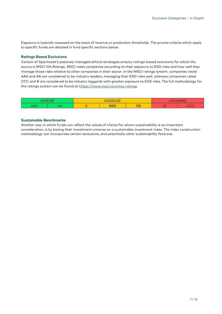Exposure is typically assessed on the basis of revenue or production thresholds. The precise criteria which apply to specific funds are detailed in fund specific sections below.

#### <span id="page-6-0"></span>**Ratings Based Exclusions**

Certain of Sparinvest's passively managed ethical strategies employ ratings-based exclusions for which the source is MSCI IVA Ratings. MSCI rates companies according to their exposure to ESG risks and how well they manage those risks relative to other companies in their sector. In the MSCI ratings system, companies rated AAA and AA are considered to be industry leaders, managing their ESG risks well, whereas companies rated CCC and B are considered to be industry laggards with greater exposure to ESG risks. The full methodology for the ratings system can be found at<https://www.msci.com/esg-ratings>

| EADER |   | $  -$<br><b>ERAGE</b><br>AVE |            | -- | AGGAPD |                      |
|-------|---|------------------------------|------------|----|--------|----------------------|
| ┑┍┑┍┑ | ∼ |                              | <b>BBB</b> | BB |        | $\sim$ $\sim$<br>ししし |

#### <span id="page-6-1"></span>**Sustainable Benchmarks**

Another way in which funds can reflect the values of clients for whom sustainability is an important consideration, is by basing their investment universe on a sustainable investment index. The index construction methodology can incorporate certain exclusions, and potentially other sustainability features.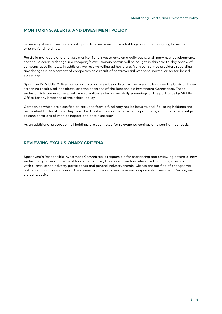#### <span id="page-7-0"></span>**MONITORING, ALERTS, AND DIVESTMENT POLICY**

Screening of securities occurs both prior to investment in new holdings, and on an ongoing basis for existing fund holdings.

Portfolio managers and analysts monitor fund investments on a daily basis, and many new developments that could cause a change in a company's exclusionary status will be caught in this day-to-day review of company specific news. In addition, we receive rolling ad hoc alerts from our service providers regarding any changes in assessment of companies as a result of controversial weapons, norms, or sector-based screenings.

Sparinvest's Middle Office maintains up to date exclusion lists for the relevant funds on the basis of those screening results, ad-hoc alerts, and the decisions of the Responsible Investment Committee. These exclusion lists are used for pre-trade compliance checks and daily screenings of the portfolios by Middle Office for any breaches of the ethical policy.

Companies which are classified as excluded from a fund may not be bought, and if existing holdings are reclassified to this status, they must be divested as soon as reasonably practical (trading strategy subject to considerations of market impact and best execution).

<span id="page-7-1"></span>As an additional precaution, all holdings are submitted for relevant screenings on a semi-annual basis.

## **REVIEWING EXCLUSIONARY CRITERIA**

Sparinvest's Responsible Investment Committee is responsible for monitoring and reviewing potential new exclusionary criteria for ethical funds. In doing so, the committee has reference to ongoing consultation with clients, other industry participants and general industry trends. Clients are notified of changes via both direct communication such as presentations or coverage in our Responsible Investment Review, and via our website.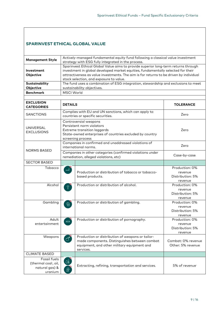# <span id="page-8-0"></span>**SPARINVEST ETHICAL GLOBAL VALUE**

| <b>Management Style</b>                                                        |                                                                                                                                                                                                                                                                                                                                                                                                                                                                    | Actively-managed fundamental equity fund following a classical value investment<br>strategy with ESG fully integrated in the process.                                                                                                                                                                       |                                                          |  |  |  |
|--------------------------------------------------------------------------------|--------------------------------------------------------------------------------------------------------------------------------------------------------------------------------------------------------------------------------------------------------------------------------------------------------------------------------------------------------------------------------------------------------------------------------------------------------------------|-------------------------------------------------------------------------------------------------------------------------------------------------------------------------------------------------------------------------------------------------------------------------------------------------------------|----------------------------------------------------------|--|--|--|
| Investment<br>Objective                                                        |                                                                                                                                                                                                                                                                                                                                                                                                                                                                    | Sparinvest Ethical Global Value aims to provide superior long-term returns through<br>investment in global developed market equities, fundamentally selected for their<br>attractiveness as value investments. The aim is for returns to be driven by individual<br>stock selection, and exposure to value. |                                                          |  |  |  |
| Sustainability                                                                 |                                                                                                                                                                                                                                                                                                                                                                                                                                                                    | The fund uses a combination of ESG integration, stewardship and exclusions to meet                                                                                                                                                                                                                          |                                                          |  |  |  |
| Objective                                                                      |                                                                                                                                                                                                                                                                                                                                                                                                                                                                    | sustainability objectives.                                                                                                                                                                                                                                                                                  |                                                          |  |  |  |
| <b>Benchmark</b>                                                               | <b>MSCI World</b>                                                                                                                                                                                                                                                                                                                                                                                                                                                  |                                                                                                                                                                                                                                                                                                             |                                                          |  |  |  |
| <b>EXCLUSION</b><br><b>CATEGORIES</b>                                          | <b>DETAILS</b>                                                                                                                                                                                                                                                                                                                                                                                                                                                     |                                                                                                                                                                                                                                                                                                             | <b>TOLERANCE</b>                                         |  |  |  |
| <b>SANCTIONS</b>                                                               |                                                                                                                                                                                                                                                                                                                                                                                                                                                                    | Complies with EU and UN sanctions, which can apply to<br>countries or specific securities.                                                                                                                                                                                                                  | Zero                                                     |  |  |  |
| <b>UNIVERSAL</b><br><b>EXCLUSIONS</b>                                          |                                                                                                                                                                                                                                                                                                                                                                                                                                                                    | Controversial weapons<br>Persistent norm violators<br>Extreme transition laggards<br>State-owned enterprises of countries excluded by country<br>screening process                                                                                                                                          | Zero                                                     |  |  |  |
|                                                                                |                                                                                                                                                                                                                                                                                                                                                                                                                                                                    | Companies in confirmed and unaddressed violations of<br>international norms.                                                                                                                                                                                                                                | Zero                                                     |  |  |  |
| <b>NORMS BASED</b>                                                             |                                                                                                                                                                                                                                                                                                                                                                                                                                                                    | Companies in other categories (confirmed violations under<br>remediation, alleged violations, etc)                                                                                                                                                                                                          | Case-by-case                                             |  |  |  |
| <b>SECTOR BASED</b>                                                            |                                                                                                                                                                                                                                                                                                                                                                                                                                                                    |                                                                                                                                                                                                                                                                                                             |                                                          |  |  |  |
| Tobacco                                                                        | $\begin{array}{c}\n\hline\n\end{array}$                                                                                                                                                                                                                                                                                                                                                                                                                            | Production or distribution of tobacco or tobacco-<br>based products.                                                                                                                                                                                                                                        | Production: 0%<br>revenue<br>Distribution: 5%<br>revenue |  |  |  |
| Alcohol                                                                        | P                                                                                                                                                                                                                                                                                                                                                                                                                                                                  | Production or distribution of alcohol.                                                                                                                                                                                                                                                                      | Production: 0%<br>revenue<br>Distribution: 5%<br>revenue |  |  |  |
| Gambling                                                                       | $\circledcirc$                                                                                                                                                                                                                                                                                                                                                                                                                                                     | Production or distribution of gambling.                                                                                                                                                                                                                                                                     | Production: 0%<br>revenue<br>Distribution: 5%<br>revenue |  |  |  |
| Adult<br>entertainment                                                         | Production or distribution of pornography.                                                                                                                                                                                                                                                                                                                                                                                                                         |                                                                                                                                                                                                                                                                                                             | Production: 0%<br>revenue<br>Distribution: 5%<br>revenue |  |  |  |
| Weapons                                                                        |                                                                                                                                                                                                                                                                                                                                                                                                                                                                    | Production or distribution of weapons or tailor-<br>made components. Distinguishes between combat<br>equipment, and other military equipment and<br>services.                                                                                                                                               | Combat: 0% revenue<br>Other: 5% revenue                  |  |  |  |
| <b>CLIMATE BASED</b>                                                           |                                                                                                                                                                                                                                                                                                                                                                                                                                                                    |                                                                                                                                                                                                                                                                                                             |                                                          |  |  |  |
| Fossil fuels<br>(thermal coal <sup>2</sup> , oil,<br>natural gas) &<br>uranium | $\Diamond^{\!\!\!\! \circ\!\!\!\! \circ\!\!\!\! \circ\!\!\!\! \circ\!\!\!\! \circ\!\!\!\! \circ\!\!\!\! \circ\!\!\!\! \circ\!\!\!\! \circ\!\!\!\! \circ\!\!\!\! \circ\!\!\!\! \circ\!\!\!\! \circ\!\!\!\! \circ\!\!\!\! \circ\!\!\!\! \circ\!\!\!\! \circ\!\!\!\! \circ\!\!\! \circ\!\!\! \circ\!\!\! \circ\!\!\! \circ\!\!\! \circ\!\!\! \circ\!\!\! \circ\!\!\! \circ\!\!\! \circ\!\!\! \circ\!\!\! \circ\!\!\! \circ\!\!\! \circ\!\!\! \circ\!\!\! \circ\$<br>爺 | Extracting, refining, transportation and services.                                                                                                                                                                                                                                                          | 5% of revenue <sup>®</sup>                               |  |  |  |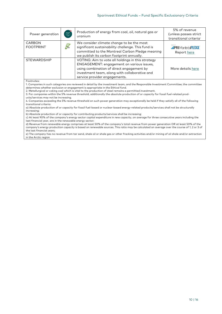| Power generation                  | $\begin{array}{ c }\n\hline\n\text{F}\overline{\mathcal{G}^2}\n\end{array}$ | Production of energy from coal, oil, natural gas or<br>uranium                                                                                                                                                                | 5% of revenue<br>(unless passes strict<br>transitional criteria <sup>®</sup> |
|-----------------------------------|-----------------------------------------------------------------------------|-------------------------------------------------------------------------------------------------------------------------------------------------------------------------------------------------------------------------------|------------------------------------------------------------------------------|
| <b>CARBON</b><br><b>FOOTPRINT</b> | $\sum_{\alpha=2}^{\infty}$                                                  | We consider climate change to be the most<br>significant sustainability challenge. This fund is<br>committed to the Montreal Carbon Pledge meaning<br>we publish its carbon footprint annually.                               | <b>.:</b> PRIMontréalPLEDGE<br>Report here                                   |
| <b>STEWARDSHIP</b>                |                                                                             | VOTING: Aim to vote all holdings in this strategy<br>ENGAGEMENT: engagement on various issues,<br>using combination of direct engagement by<br>investment team, along with collaborative and<br>service provider engagements. | More details here                                                            |

Footnotes:

1. Companies in such categories are reviewed in detail by the investment team, and the Responsible Investment Committee; the committee determines whether exclusion or engagement is appropriate in the Ethical fund.

2. Metallurgical or coking coal which is vital to the production of steel remains a permitted investment.

3. For companies within the 5% revenue threshold, additionally the absolute production of or capacity for fossil fuel-related products/services may not be increasing.

4. Companies exceeding the 5% revenue threshold on such power generation may exceptionally be held if they satisfy all of the following transitional criteria:

a) Absolute production of or capacity for fossil fuel-based or nuclear-based energy-related products/services shall not be structurally increasing;

b) Absolute production of or capacity for contributing products/services shall be increasing;

c) At least 90% of the company's energy sector capital expenditure in new capacity, on average for three consecutive years including the last financial year, are in the renewable energy sector;

d) Revenue from renewable energy comprises at least 50% of the company's total revenue from power generation OR at least 50% of the company's energy production capacity is based on renewable sources. This ratio may be calculated on average over the course of 1, 2 or 3 of the last financial years;

e) The company has no revenue from tar sand, shale oil or shale gas or other fracking activities and/or mining of oil shale and/or extraction in the Arctic region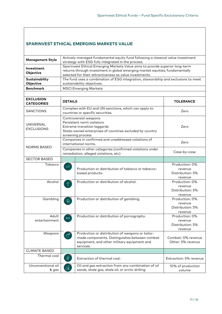# <span id="page-10-0"></span>**SPARINVEST ETHICAL EMERGING MARKETS VALUE**

| <b>Management Style</b>               | Actively-managed fundamental equity fund following a classical value investment<br>strategy with ESG fully integrated in the process.                                                                                   |                  |  |  |  |
|---------------------------------------|-------------------------------------------------------------------------------------------------------------------------------------------------------------------------------------------------------------------------|------------------|--|--|--|
| Investment<br>Objective               | Sparinvest Ethical Emerging Markets Value aims to provide superior long-term<br>returns through investment in global emerging market equities, fundamentally<br>selected for their attractiveness as value investments. |                  |  |  |  |
| Sustainability<br>Objective           | The fund uses a combination of ESG integration, stewardship and exclusions to meet<br>sustainability objectives.                                                                                                        |                  |  |  |  |
| <b>Benchmark</b>                      | <b>MSCI Emerging Markets</b>                                                                                                                                                                                            |                  |  |  |  |
|                                       |                                                                                                                                                                                                                         |                  |  |  |  |
| <b>EXCLUSION</b><br><b>CATEGORIES</b> | <b>DETAILS</b>                                                                                                                                                                                                          | <b>TOLERANCE</b> |  |  |  |
| <b>SANCTIONS</b>                      | Complies with EU and UN sanctions, which can apply to<br>countries or specific securities.                                                                                                                              | Zero             |  |  |  |
| <b>UNIVERSAL</b><br><b>EXCLUSIONS</b> | Controversial weapons<br>Persistent norm violators<br>Extreme transition laggards<br>State-owned enterprises of countries excluded by country<br>screening process                                                      | Zero             |  |  |  |
| <b>NORMS BASED</b>                    | Companies in confirmed and unaddressed violations of<br>international norms.                                                                                                                                            | Zero             |  |  |  |
|                                       | Companies in other categories (confirmed violations under<br>remediation, alleged violations, etc)                                                                                                                      | Case-by-case,    |  |  |  |
| <b>SECTOR BASED</b>                   |                                                                                                                                                                                                                         |                  |  |  |  |
| Tobacco                               | —ैं                                                                                                                                                                                                                     | Production: 0%   |  |  |  |

| <b>SECTOR BASED</b>         |                                        |                                                                                                                                                               |                                                          |
|-----------------------------|----------------------------------------|---------------------------------------------------------------------------------------------------------------------------------------------------------------|----------------------------------------------------------|
| Tobacco                     | —ैं                                    | Production or distribution of tobacco or tobacco-<br>based products.                                                                                          | Production: 0%<br>revenue<br>Distribution: 5%<br>revenue |
| Alcohol                     | $\overline{P}$                         | Production or distribution of alcohol.                                                                                                                        | Production: 0%<br>revenue<br>Distribution: 5%<br>revenue |
| Gambling                    | $\circledcirc$                         | Production or distribution of gambling.                                                                                                                       | Production: 0%<br>revenue<br>Distribution: 5%<br>revenue |
| Adult<br>entertainment      | <b>XXX</b>                             | Production or distribution of pornography.                                                                                                                    | Production: 0%<br>revenue<br>Distribution: 5%<br>revenue |
| Weapons                     | $\sigma^*$                             | Production or distribution of weapons or tailor-<br>made components. Distinguishes between combat<br>equipment, and other military equipment and<br>services. | Combat: 0% revenue<br>Other: 5% revenue                  |
| <b>CLIMATE BASED</b>        |                                        |                                                                                                                                                               |                                                          |
| Thermal coal                | €                                      | Extraction of thermal coal. <sup>2</sup>                                                                                                                      | Extraction: 5% revenue                                   |
| Unconventional oil<br>& gas | $\Diamond^{\!\!\mathbb{Q}}_\mathbb{Z}$ | Oil and gas extraction from any combination of oil<br>sands, shale gas, shale oil, or arctic drilling <sup>®</sup>                                            | 10% of production<br>volume                              |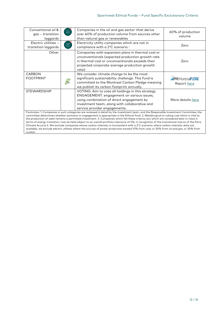| Conventional oil &<br>gas – transition<br>laggards | $\circledcirc$             | Companies in the oil and gas sector that derive<br>over 60% of production volume from sources other<br>than natural gas or renewables                                                                                                                                                                                                                                                                                                                                                                                                                                                                                                                                                                                                  | 60% of production<br>volume                |
|----------------------------------------------------|----------------------------|----------------------------------------------------------------------------------------------------------------------------------------------------------------------------------------------------------------------------------------------------------------------------------------------------------------------------------------------------------------------------------------------------------------------------------------------------------------------------------------------------------------------------------------------------------------------------------------------------------------------------------------------------------------------------------------------------------------------------------------|--------------------------------------------|
| Electric utilities -<br>transition laggards        | $\left[\frac{1}{2}$        | Electricity utility companies which are not in<br>compliance with a 2°C scenario. <sup>34</sup>                                                                                                                                                                                                                                                                                                                                                                                                                                                                                                                                                                                                                                        | Zero                                       |
| Other                                              |                            | Companies with expansion plans in thermal coal or<br>unconventionals (expected production growth rate<br>in thermal coal or unconventionals exceeds their<br>projected corporate average production growth<br>rate) <sup>3</sup>                                                                                                                                                                                                                                                                                                                                                                                                                                                                                                       | Zero                                       |
| <b>CARBON</b><br><b>FOOTPRINT</b>                  | $\sum_{\alpha=1}^{\infty}$ | We consider climate change to be the most<br>significant sustainability challenge. This fund is<br>committed to the Montreal Carbon Pledge meaning<br>we publish its carbon footprint annually.                                                                                                                                                                                                                                                                                                                                                                                                                                                                                                                                        | <b>.:</b> PRIMontréalPLEDGE<br>Report here |
| <b>STEWARDSHIP</b>                                 |                            | VOTING: Aim to vote all holdings in this strategy<br>ENGAGEMENT: engagement on various issues,<br>using combination of direct engagement by<br>investment team, along with collaborative and<br>service provider engagements.                                                                                                                                                                                                                                                                                                                                                                                                                                                                                                          | More details here                          |
|                                                    |                            | Footnotes: 1. Companies in such categories are reviewed in detail by the investment team, and the Responsible Investment Committee; the<br>committee determines whether exclusion or engagement is appropriate in the Ethical fund. 2. Metallurgical or coking coal which is vital to<br>the production of steel remains a permitted investment. 3. Companies which fail these criteria, but which are considered best-in-class in<br>terms of energy transition, may be held subject to an overall portfolio tolerance of 5%, in recognition of the transitional nature of the Paris<br>Climate Accord: 4. We exclude companies whose carbon intensity is inconsistent with a $2^{\circ}$ C scenario: where carbon intensity data not |                                            |

Climate Accord; 4. We exclude companies whose carbon intensity is inconsistent with a 2°C scenario; where carbon intensity data not<br>available, we exclude electric utilities where the sources of power production exceed 10% nuclear.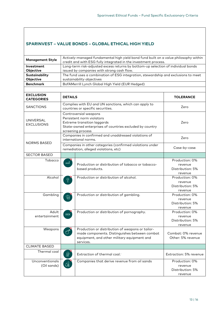# <span id="page-12-0"></span>**SPARINVEST – VALUE BONDS – GLOBAL ETHICAL HIGH YIELD**

| <b>Management Style</b> | Actively-managed fundamental high yield bond fund built on a value philosophy within<br>credit and with ESG fully integrated in the investment process. |
|-------------------------|---------------------------------------------------------------------------------------------------------------------------------------------------------|
| Investment              | Long-term risk-adjusted excess returns by bottom-up selection of individual bonds                                                                       |
| <b>Objective</b>        | issued by companies with strong cash flow.                                                                                                              |
| Sustainability          | The fund uses a combination of ESG integration, stewardship and exclusions to meet                                                                      |
| Objective               | sustainability objectives                                                                                                                               |
| <b>Benchmark</b>        | BofAMerrill Lynch Global High Yield (EUR Hedged)                                                                                                        |

| <b>EXCLUSION</b><br><b>CATEGORIES</b> | <b>DETAILS</b>                                                                                                                                                                                                                                                                                                                                                                                                                                                |                                                                                                                                                                    | <b>TOLERANCE</b>                                         |
|---------------------------------------|---------------------------------------------------------------------------------------------------------------------------------------------------------------------------------------------------------------------------------------------------------------------------------------------------------------------------------------------------------------------------------------------------------------------------------------------------------------|--------------------------------------------------------------------------------------------------------------------------------------------------------------------|----------------------------------------------------------|
| <b>SANCTIONS</b>                      |                                                                                                                                                                                                                                                                                                                                                                                                                                                               | Complies with EU and UN sanctions, which can apply to<br>countries or specific securities.                                                                         | Zero                                                     |
| <b>UNIVERSAL</b><br><b>EXCLUSIONS</b> |                                                                                                                                                                                                                                                                                                                                                                                                                                                               | Controversial weapons<br>Persistent norm violators<br>Extreme transition laggards<br>State-owned enterprises of countries excluded by country<br>screening process | Zero                                                     |
| <b>NORMS BASED</b>                    |                                                                                                                                                                                                                                                                                                                                                                                                                                                               | Companies in confirmed and unaddressed violations of<br>international norms.                                                                                       | Zero                                                     |
|                                       |                                                                                                                                                                                                                                                                                                                                                                                                                                                               | Companies in other categories (confirmed violations under<br>remediation, alleged violations, etc)                                                                 | Case-by-case,                                            |
| <b>SECTOR BASED</b>                   |                                                                                                                                                                                                                                                                                                                                                                                                                                                               |                                                                                                                                                                    |                                                          |
| Tobacco                               | ᡂै                                                                                                                                                                                                                                                                                                                                                                                                                                                            | Production or distribution of tobacco or tobacco-<br>based products.                                                                                               | Production: 0%<br>revenue<br>Distribution: 5%<br>revenue |
| Alcohol                               | $\overline{P}$                                                                                                                                                                                                                                                                                                                                                                                                                                                | Production or distribution of alcohol.                                                                                                                             | Production: 0%<br>revenue<br>Distribution: 5%<br>revenue |
| Gambling                              | ©                                                                                                                                                                                                                                                                                                                                                                                                                                                             | Production or distribution of gambling.                                                                                                                            | Production: 0%<br>revenue<br>Distribution: 5%<br>revenue |
| Adult<br>entertainment                | <b>XXX</b>                                                                                                                                                                                                                                                                                                                                                                                                                                                    | Production or distribution of pornography.                                                                                                                         | Production: 0%<br>revenue<br>Distribution: 5%<br>revenue |
| Weapons                               |                                                                                                                                                                                                                                                                                                                                                                                                                                                               | Production or distribution of weapons or tailor-<br>made components. Distinguishes between combat<br>equipment, and other military equipment and<br>services.      | Combat: 0% revenue<br>Other: 5% revenue                  |
| <b>CLIMATE BASED</b>                  |                                                                                                                                                                                                                                                                                                                                                                                                                                                               |                                                                                                                                                                    |                                                          |
| Thermal coal                          | 6                                                                                                                                                                                                                                                                                                                                                                                                                                                             | Extraction of thermal coal. <sup>2</sup>                                                                                                                           | Extraction: 5% revenue                                   |
| Unconventionals<br>(Oil sands)        | $\Diamond^{\!\!\!\! \circ\!\!\!\! \circ\!\!\!\! \circ\!\!\!\! \circ\!\!\!\! \circ\!\!\!\! \circ\!\!\!\! \circ\!\!\!\! \circ\!\!\!\! \circ\!\!\!\! \circ\!\!\!\! \circ\!\!\!\! \circ\!\!\!\! \circ\!\!\!\! \circ\!\!\!\! \circ\!\!\!\! \circ\!\!\!\! \circ\!\!\!\! \circ\!\!\! \circ\!\!\! \circ\!\!\! \circ\!\!\! \circ\!\!\! \circ\!\!\! \circ\!\!\! \circ\!\!\! \circ\!\!\! \circ\!\!\! \circ\!\!\! \circ\!\!\! \circ\!\!\! \circ\!\!\! \circ\!\!\! \circ\$ | Companies that derive revenue from oil sands                                                                                                                       | Production: 0%<br>revenue<br>Distribution: 5%<br>revenue |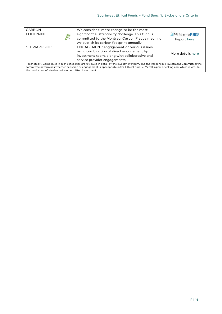| <b>CARBON</b><br><b>FOOTPRINT</b>                                                                                                                                                                                                                                                                                                                | $\mathbf{u}_\ell$<br>CO <sub>2</sub> | We consider climate change to be the most<br>significant sustainability challenge. This fund is<br>committed to the Montreal Carbon Pledge meaning<br>we publish its carbon footprint annually. | <b>EPRIMontréalPLEDGE</b><br>Report here |  |
|--------------------------------------------------------------------------------------------------------------------------------------------------------------------------------------------------------------------------------------------------------------------------------------------------------------------------------------------------|--------------------------------------|-------------------------------------------------------------------------------------------------------------------------------------------------------------------------------------------------|------------------------------------------|--|
| <b>STEWARDSHIP</b>                                                                                                                                                                                                                                                                                                                               |                                      | ENGAGEMENT: engagement on various issues,<br>using combination of direct engagement by<br>investment team, along with collaborative and<br>service provider engagements.                        | More details here                        |  |
| Footnotes: 1. Companies in such categories are reviewed in detail by the investment team, and the Responsible Investment Committee; the<br>committee determines whether exclusion or engagement is appropriate in the Ethical fund. 2. Metallurgical or coking coal which is vital to<br>the production of steel remains a permitted investment. |                                      |                                                                                                                                                                                                 |                                          |  |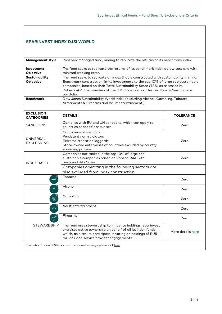# <span id="page-14-0"></span>**SPARINVEST INDEX DJSI WORLD**

| <b>Management style</b>               | Passively managed fund, aiming to replicate the returns of its benchmark index                                                                                                                                                             |                   |  |  |  |
|---------------------------------------|--------------------------------------------------------------------------------------------------------------------------------------------------------------------------------------------------------------------------------------------|-------------------|--|--|--|
|                                       |                                                                                                                                                                                                                                            |                   |  |  |  |
| Investment                            | The fund seeks to replicate the returns of its benchmark index at low cost and with                                                                                                                                                        |                   |  |  |  |
| Objective                             | minimal tracking error.                                                                                                                                                                                                                    |                   |  |  |  |
| Sustainability<br>Objective           | The fund seeks to replicate an index that is constructed with sustainability in mind.                                                                                                                                                      |                   |  |  |  |
|                                       | Benchmark construction limits investments to the top 10% of large cap sustainable<br>companies, based on their Total Sustainability Score (TSS) as assessed by                                                                             |                   |  |  |  |
|                                       | RobecoSAM, the founders of the DJSI Index series. This results in a 'best in class'                                                                                                                                                        |                   |  |  |  |
|                                       | portfolio.                                                                                                                                                                                                                                 |                   |  |  |  |
| <b>Benchmark</b>                      | Dow Jones Sustainability World Index (excluding Alcohol, Gambling, Tobacco,                                                                                                                                                                |                   |  |  |  |
|                                       | Armaments & Firearms and Adult entertainment.)                                                                                                                                                                                             |                   |  |  |  |
|                                       |                                                                                                                                                                                                                                            |                   |  |  |  |
| <b>EXCLUSION</b><br><b>CATEGORIES</b> | <b>DETAILS</b>                                                                                                                                                                                                                             | <b>TOLERANCE</b>  |  |  |  |
| <b>SANCTIONS</b>                      | Complies with EU and UN sanctions, which can apply to<br>countries or specific securities.                                                                                                                                                 | Zero              |  |  |  |
| <b>UNIVERSAL</b><br><b>EXCLUSIONS</b> | Controversial weapons<br>Persistent norm violators<br>Extreme transition laggards<br>State-owned enterprises of countries excluded by country<br>screening process                                                                         | Zero              |  |  |  |
| <b>INDEX BASED</b>                    | Companies not ranked in the top 10% of large cap<br>sustainable companies based on RobecoSAM Total<br><b>Sustainability Score</b>                                                                                                          | Zero              |  |  |  |
|                                       | Companies operating in the following sectors are<br>also excluded from index construction:                                                                                                                                                 |                   |  |  |  |
| ᡂ                                     | Tobacco                                                                                                                                                                                                                                    | Zero              |  |  |  |
| $\Theta$                              | Alcohol                                                                                                                                                                                                                                    | Zero              |  |  |  |
| ©                                     | Gambling                                                                                                                                                                                                                                   | Zero              |  |  |  |
| <b>XXX</b>                            | Adult entertainment                                                                                                                                                                                                                        | Zero              |  |  |  |
|                                       | <b>Firearms</b>                                                                                                                                                                                                                            | Zero              |  |  |  |
| <b>STEWARDSHIP</b>                    | The fund uses stewardship to influence holdings. Sparinvest<br>exercises active ownership on behalf of all its index funds<br>which, as a result, participate in voting on holdings of EUR 1<br>million+ and service provider engagements. | More details here |  |  |  |
|                                       | Footnotes: To view DJSI index construction methodology, please click here                                                                                                                                                                  |                   |  |  |  |